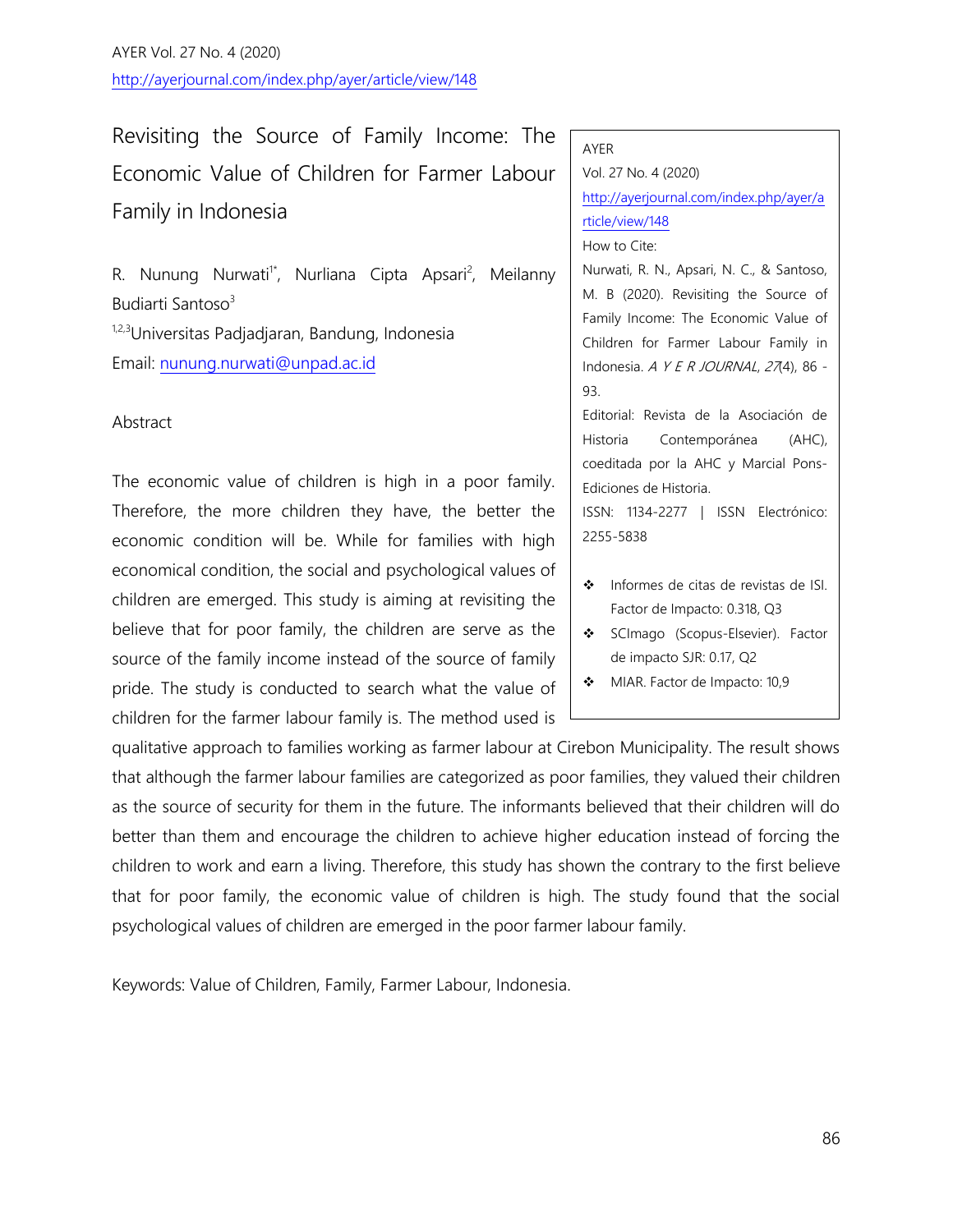AYER Vol. 27 No. 4 (2020) http://ayerjournal.com/index.php/ayer/article/view/148

Revisiting the Source of Family Income: The Economic Value of Children for Farmer Labour Family in Indonesia

R. Nunung Nurwati<sup>1\*</sup>, Nurliana Cipta Apsari<sup>2</sup>, Meilanny Budiarti Santoso<sup>3</sup>

1,2,3Universitas Padjadjaran, Bandung, Indonesia Email: [nunung.nurwati@unpad.ac.id](mailto:nunung.nurwati@unpad.ac.id)

### Abstract

The economic value of children is high in a poor family. Therefore, the more children they have, the better the economic condition will be. While for families with high economical condition, the social and psychological values of children are emerged. This study is aiming at revisiting the believe that for poor family, the children are serve as the source of the family income instead of the source of family pride. The study is conducted to search what the value of children for the farmer labour family is. The method used is

qualitative approach to families working as farmer labour at Cirebon Municipality. The result shows that although the farmer labour families are categorized as poor families, they valued their children as the source of security for them in the future. The informants believed that their children will do better than them and encourage the children to achieve higher education instead of forcing the children to work and earn a living. Therefore, this study has shown the contrary to the first believe that for poor family, the economic value of children is high. The study found that the social psychological values of children are emerged in the poor farmer labour family.

Keywords: Value of Children, Family, Farmer Labour, Indonesia.

#### AYER

Vol. 27 No. 4 (2020) [http://ayerjournal.com/index.php/ayer/a](http://ayerjournal.com/index.php/ayer/article/view/148) [rticle/view/148](http://ayerjournal.com/index.php/ayer/article/view/148) How to Cite:

Nurwati, R. N., Apsari, N. C., & Santoso, M. B (2020). Revisiting the Source of Family Income: The Economic Value of Children for Farmer Labour Family in Indonesia. A Y E R JOURNAL, 27(4), 86 -93.

Editorial: Revista de la Asociación de Historia Contemporánea (AHC), coeditada por la AHC y Marcial Pons-Ediciones de Historia.

ISSN: 1134-2277 | ISSN Electrónico: 2255-5838

- ❖ Informes de citas de revistas de ISI. Factor de Impacto: 0.318, Q3
- SCImago (Scopus-Elsevier). Factor de impacto SJR: 0.17, Q2
- MIAR. Factor de Impacto: 10,9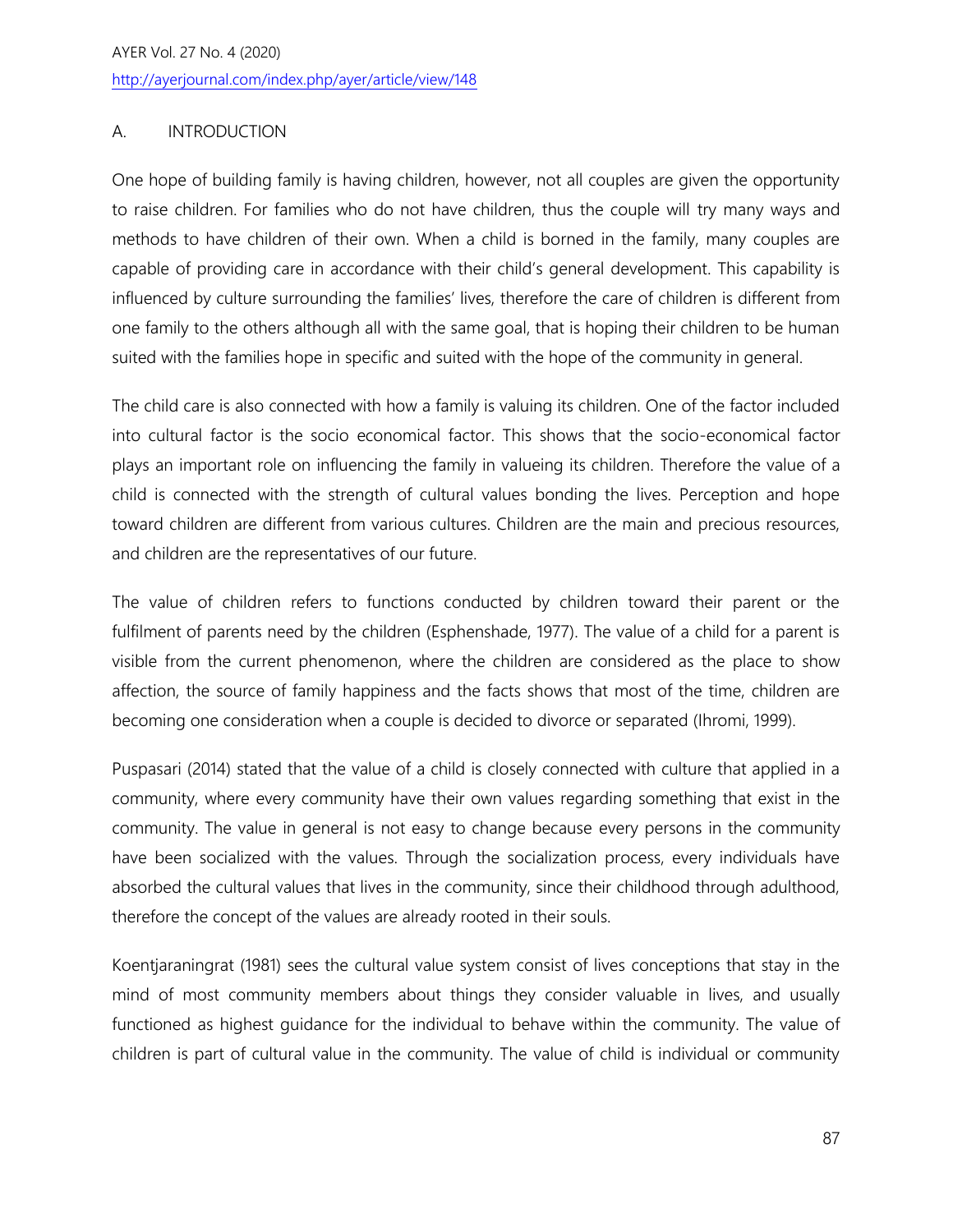AYER Vol. 27 No. 4 (2020) http://ayerjournal.com/index.php/ayer/article/view/148

# A. INTRODUCTION

One hope of building family is having children, however, not all couples are given the opportunity to raise children. For families who do not have children, thus the couple will try many ways and methods to have children of their own. When a child is borned in the family, many couples are capable of providing care in accordance with their child's general development. This capability is influenced by culture surrounding the families' lives, therefore the care of children is different from one family to the others although all with the same goal, that is hoping their children to be human suited with the families hope in specific and suited with the hope of the community in general.

The child care is also connected with how a family is valuing its children. One of the factor included into cultural factor is the socio economical factor. This shows that the socio-economical factor plays an important role on influencing the family in valueing its children. Therefore the value of a child is connected with the strength of cultural values bonding the lives. Perception and hope toward children are different from various cultures. Children are the main and precious resources, and children are the representatives of our future.

The value of children refers to functions conducted by children toward their parent or the fulfilment of parents need by the children (Esphenshade, 1977). The value of a child for a parent is visible from the current phenomenon, where the children are considered as the place to show affection, the source of family happiness and the facts shows that most of the time, children are becoming one consideration when a couple is decided to divorce or separated (Ihromi, 1999).

Puspasari (2014) stated that the value of a child is closely connected with culture that applied in a community, where every community have their own values regarding something that exist in the community. The value in general is not easy to change because every persons in the community have been socialized with the values. Through the socialization process, every individuals have absorbed the cultural values that lives in the community, since their childhood through adulthood, therefore the concept of the values are already rooted in their souls.

Koentjaraningrat (1981) sees the cultural value system consist of lives conceptions that stay in the mind of most community members about things they consider valuable in lives, and usually functioned as highest guidance for the individual to behave within the community. The value of children is part of cultural value in the community. The value of child is individual or community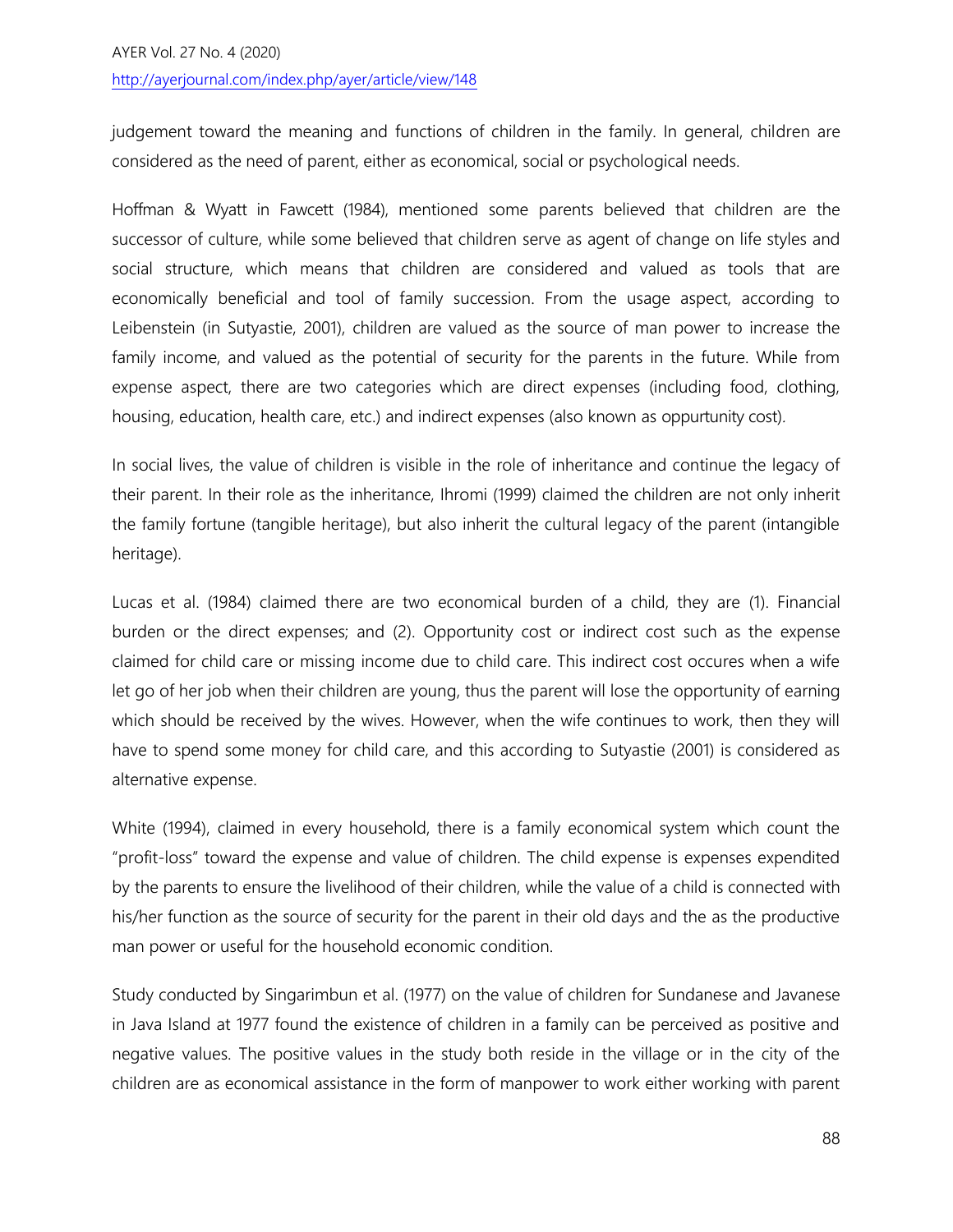judgement toward the meaning and functions of children in the family. In general, children are considered as the need of parent, either as economical, social or psychological needs.

Hoffman & Wyatt in Fawcett (1984), mentioned some parents believed that children are the successor of culture, while some believed that children serve as agent of change on life styles and social structure, which means that children are considered and valued as tools that are economically beneficial and tool of family succession. From the usage aspect, according to Leibenstein (in Sutyastie, 2001), children are valued as the source of man power to increase the family income, and valued as the potential of security for the parents in the future. While from expense aspect, there are two categories which are direct expenses (including food, clothing, housing, education, health care, etc.) and indirect expenses (also known as oppurtunity cost).

In social lives, the value of children is visible in the role of inheritance and continue the legacy of their parent. In their role as the inheritance, Ihromi (1999) claimed the children are not only inherit the family fortune (tangible heritage), but also inherit the cultural legacy of the parent (intangible heritage).

Lucas et al. (1984) claimed there are two economical burden of a child, they are (1). Financial burden or the direct expenses; and (2). Opportunity cost or indirect cost such as the expense claimed for child care or missing income due to child care. This indirect cost occures when a wife let go of her job when their children are young, thus the parent will lose the opportunity of earning which should be received by the wives. However, when the wife continues to work, then they will have to spend some money for child care, and this according to Sutyastie (2001) is considered as alternative expense.

White (1994), claimed in every household, there is a family economical system which count the "profit-loss" toward the expense and value of children. The child expense is expenses expendited by the parents to ensure the livelihood of their children, while the value of a child is connected with his/her function as the source of security for the parent in their old days and the as the productive man power or useful for the household economic condition.

Study conducted by Singarimbun et al. (1977) on the value of children for Sundanese and Javanese in Java Island at 1977 found the existence of children in a family can be perceived as positive and negative values. The positive values in the study both reside in the village or in the city of the children are as economical assistance in the form of manpower to work either working with parent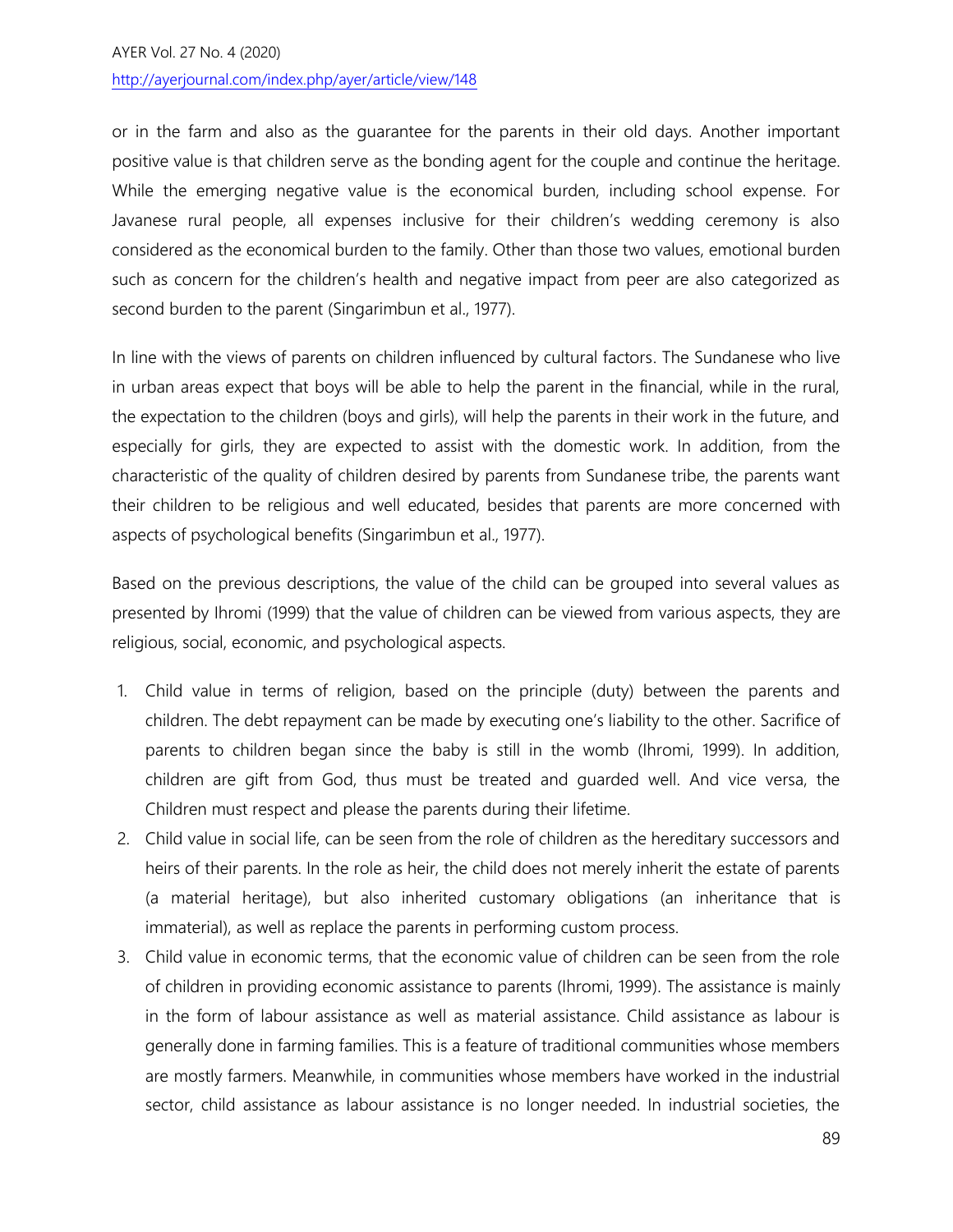or in the farm and also as the guarantee for the parents in their old days. Another important positive value is that children serve as the bonding agent for the couple and continue the heritage. While the emerging negative value is the economical burden, including school expense. For Javanese rural people, all expenses inclusive for their children's wedding ceremony is also considered as the economical burden to the family. Other than those two values, emotional burden such as concern for the children's health and negative impact from peer are also categorized as second burden to the parent (Singarimbun et al., 1977).

In line with the views of parents on children influenced by cultural factors. The Sundanese who live in urban areas expect that boys will be able to help the parent in the financial, while in the rural, the expectation to the children (boys and girls), will help the parents in their work in the future, and especially for girls, they are expected to assist with the domestic work. In addition, from the characteristic of the quality of children desired by parents from Sundanese tribe, the parents want their children to be religious and well educated, besides that parents are more concerned with aspects of psychological benefits (Singarimbun et al., 1977).

Based on the previous descriptions, the value of the child can be grouped into several values as presented by Ihromi (1999) that the value of children can be viewed from various aspects, they are religious, social, economic, and psychological aspects.

- 1. Child value in terms of religion, based on the principle (duty) between the parents and children. The debt repayment can be made by executing one's liability to the other. Sacrifice of parents to children began since the baby is still in the womb (Ihromi, 1999). In addition, children are gift from God, thus must be treated and guarded well. And vice versa, the Children must respect and please the parents during their lifetime.
- 2. Child value in social life, can be seen from the role of children as the hereditary successors and heirs of their parents. In the role as heir, the child does not merely inherit the estate of parents (a material heritage), but also inherited customary obligations (an inheritance that is immaterial), as well as replace the parents in performing custom process.
- 3. Child value in economic terms, that the economic value of children can be seen from the role of children in providing economic assistance to parents (Ihromi, 1999). The assistance is mainly in the form of labour assistance as well as material assistance. Child assistance as labour is generally done in farming families. This is a feature of traditional communities whose members are mostly farmers. Meanwhile, in communities whose members have worked in the industrial sector, child assistance as labour assistance is no longer needed. In industrial societies, the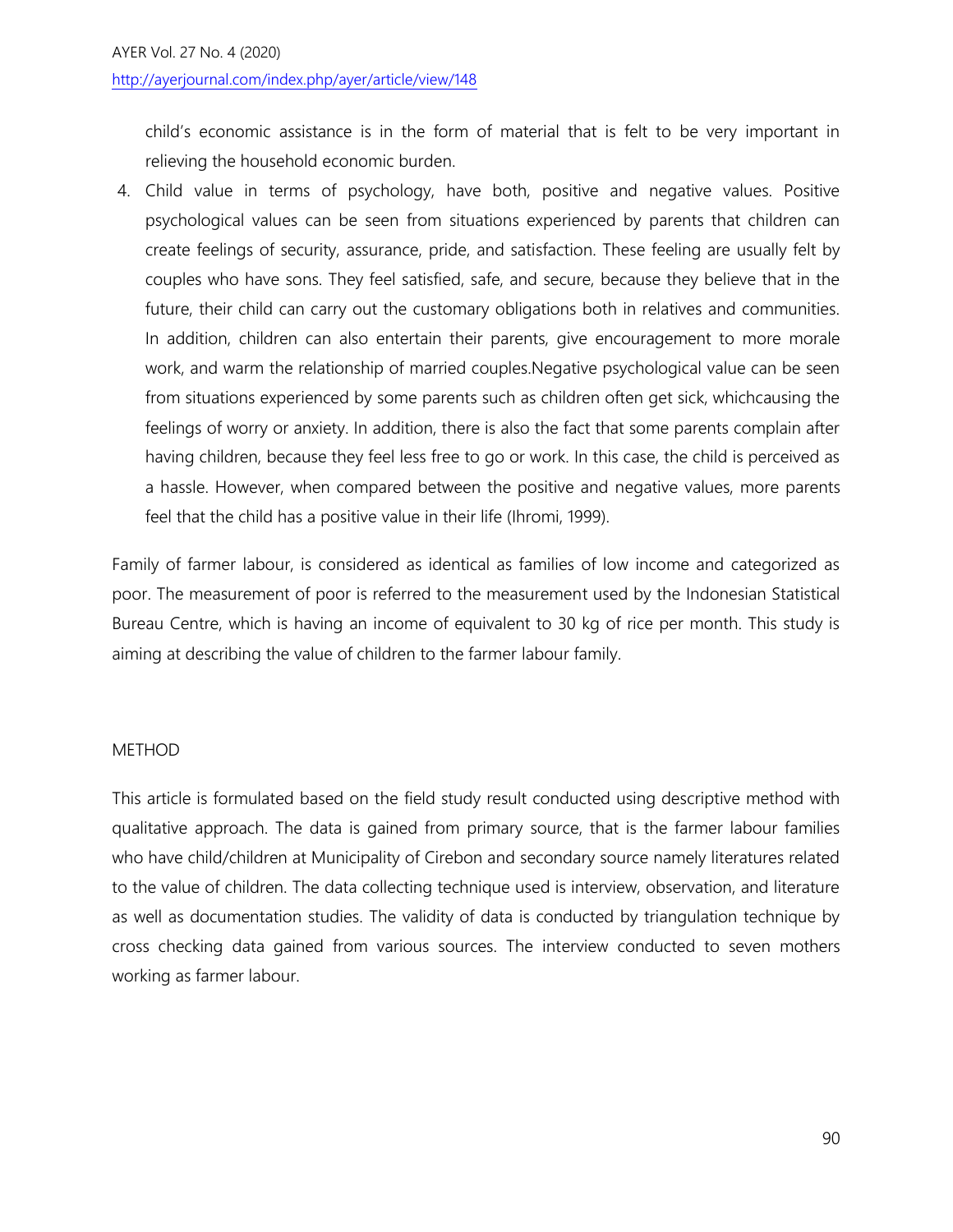### http://ayerjournal.com/index.php/ayer/article/view/148

child's economic assistance is in the form of material that is felt to be very important in relieving the household economic burden.

4. Child value in terms of psychology, have both, positive and negative values. Positive psychological values can be seen from situations experienced by parents that children can create feelings of security, assurance, pride, and satisfaction. These feeling are usually felt by couples who have sons. They feel satisfied, safe, and secure, because they believe that in the future, their child can carry out the customary obligations both in relatives and communities. In addition, children can also entertain their parents, give encouragement to more morale work, and warm the relationship of married couples.Negative psychological value can be seen from situations experienced by some parents such as children often get sick, whichcausing the feelings of worry or anxiety. In addition, there is also the fact that some parents complain after having children, because they feel less free to go or work. In this case, the child is perceived as a hassle. However, when compared between the positive and negative values, more parents feel that the child has a positive value in their life (Ihromi, 1999).

Family of farmer labour, is considered as identical as families of low income and categorized as poor. The measurement of poor is referred to the measurement used by the Indonesian Statistical Bureau Centre, which is having an income of equivalent to 30 kg of rice per month. This study is aiming at describing the value of children to the farmer labour family.

### METHOD

This article is formulated based on the field study result conducted using descriptive method with qualitative approach. The data is gained from primary source, that is the farmer labour families who have child/children at Municipality of Cirebon and secondary source namely literatures related to the value of children. The data collecting technique used is interview, observation, and literature as well as documentation studies. The validity of data is conducted by triangulation technique by cross checking data gained from various sources. The interview conducted to seven mothers working as farmer labour.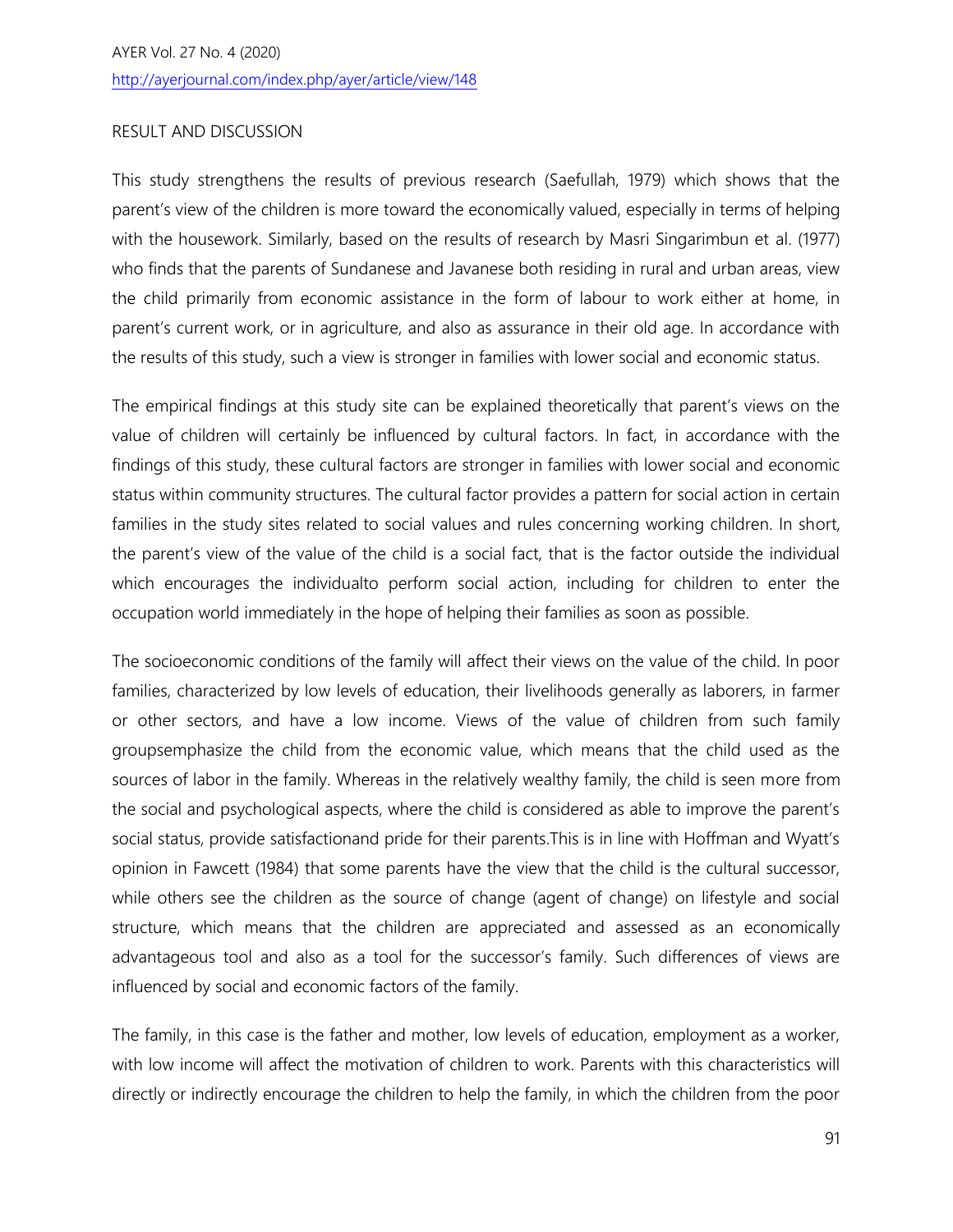## RESULT AND DISCUSSION

This study strengthens the results of previous research (Saefullah, 1979) which shows that the parent's view of the children is more toward the economically valued, especially in terms of helping with the housework. Similarly, based on the results of research by Masri Singarimbun et al. (1977) who finds that the parents of Sundanese and Javanese both residing in rural and urban areas, view the child primarily from economic assistance in the form of labour to work either at home, in parent's current work, or in agriculture, and also as assurance in their old age. In accordance with the results of this study, such a view is stronger in families with lower social and economic status.

The empirical findings at this study site can be explained theoretically that parent's views on the value of children will certainly be influenced by cultural factors. In fact, in accordance with the findings of this study, these cultural factors are stronger in families with lower social and economic status within community structures. The cultural factor provides a pattern for social action in certain families in the study sites related to social values and rules concerning working children. In short, the parent's view of the value of the child is a social fact, that is the factor outside the individual which encourages the individualto perform social action, including for children to enter the occupation world immediately in the hope of helping their families as soon as possible.

The socioeconomic conditions of the family will affect their views on the value of the child. In poor families, characterized by low levels of education, their livelihoods generally as laborers, in farmer or other sectors, and have a low income. Views of the value of children from such family groupsemphasize the child from the economic value, which means that the child used as the sources of labor in the family. Whereas in the relatively wealthy family, the child is seen more from the social and psychological aspects, where the child is considered as able to improve the parent's social status, provide satisfactionand pride for their parents.This is in line with Hoffman and Wyatt's opinion in Fawcett (1984) that some parents have the view that the child is the cultural successor, while others see the children as the source of change (agent of change) on lifestyle and social structure, which means that the children are appreciated and assessed as an economically advantageous tool and also as a tool for the successor's family. Such differences of views are influenced by social and economic factors of the family.

The family, in this case is the father and mother, low levels of education, employment as a worker, with low income will affect the motivation of children to work. Parents with this characteristics will directly or indirectly encourage the children to help the family, in which the children from the poor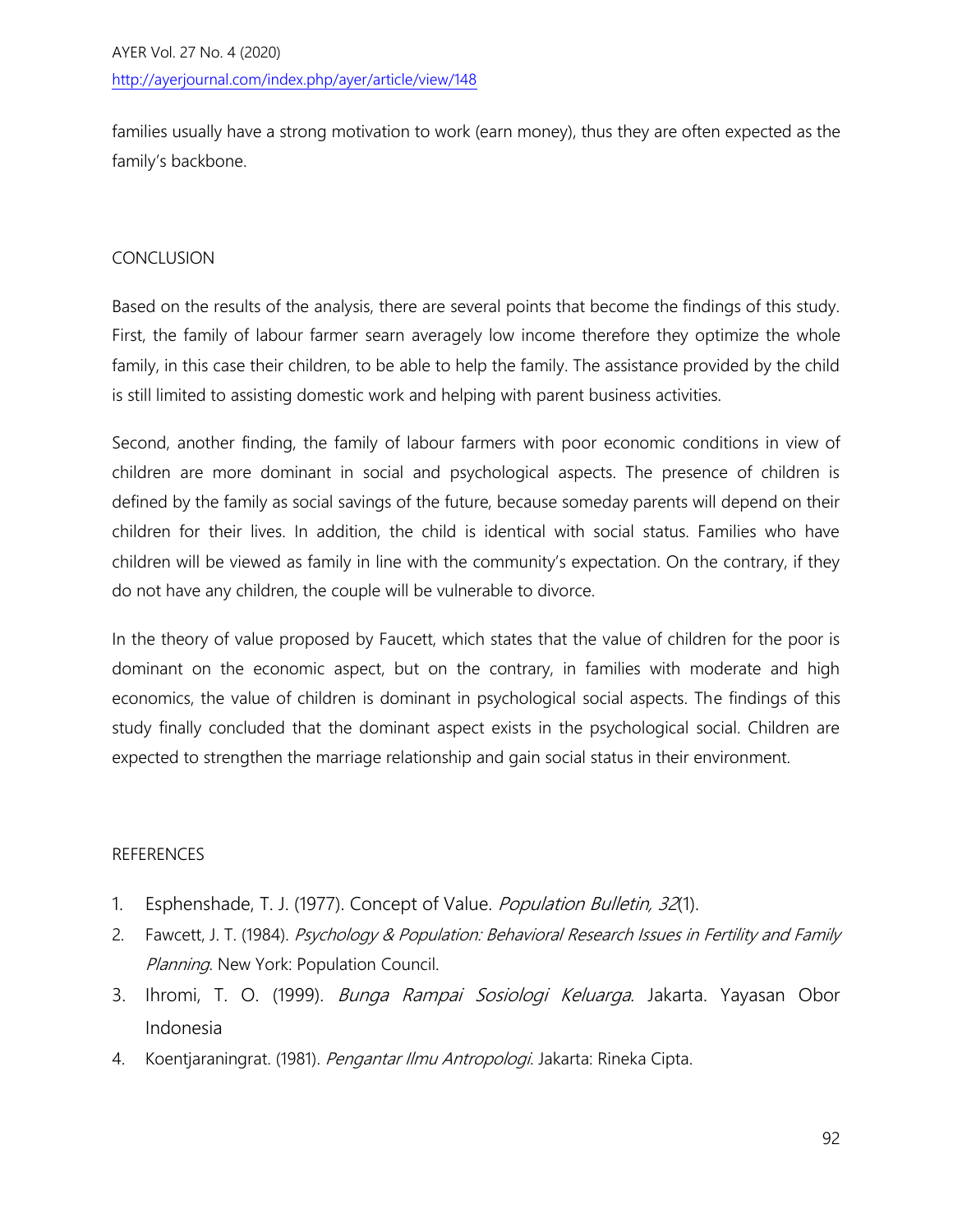families usually have a strong motivation to work (earn money), thus they are often expected as the family's backbone.

# CONCLUSION

Based on the results of the analysis, there are several points that become the findings of this study. First, the family of labour farmer searn averagely low income therefore they optimize the whole family, in this case their children, to be able to help the family. The assistance provided by the child is still limited to assisting domestic work and helping with parent business activities.

Second, another finding, the family of labour farmers with poor economic conditions in view of children are more dominant in social and psychological aspects. The presence of children is defined by the family as social savings of the future, because someday parents will depend on their children for their lives. In addition, the child is identical with social status. Families who have children will be viewed as family in line with the community's expectation. On the contrary, if they do not have any children, the couple will be vulnerable to divorce.

In the theory of value proposed by Faucett, which states that the value of children for the poor is dominant on the economic aspect, but on the contrary, in families with moderate and high economics, the value of children is dominant in psychological social aspects. The findings of this study finally concluded that the dominant aspect exists in the psychological social. Children are expected to strengthen the marriage relationship and gain social status in their environment.

### REFERENCES

- 1. Esphenshade, T. J. (1977). Concept of Value. Population Bulletin, 32(1).
- 2. Fawcett, J. T. (1984). Psychology & Population: Behavioral Research Issues in Fertility and Family Planning. New York: Population Council.
- 3. Ihromi, T. O. (1999). Bunga Rampai Sosiologi Keluarga. Jakarta. Yayasan Obor Indonesia
- 4. Koentjaraningrat. (1981). Pengantar Ilmu Antropologi. Jakarta: Rineka Cipta.